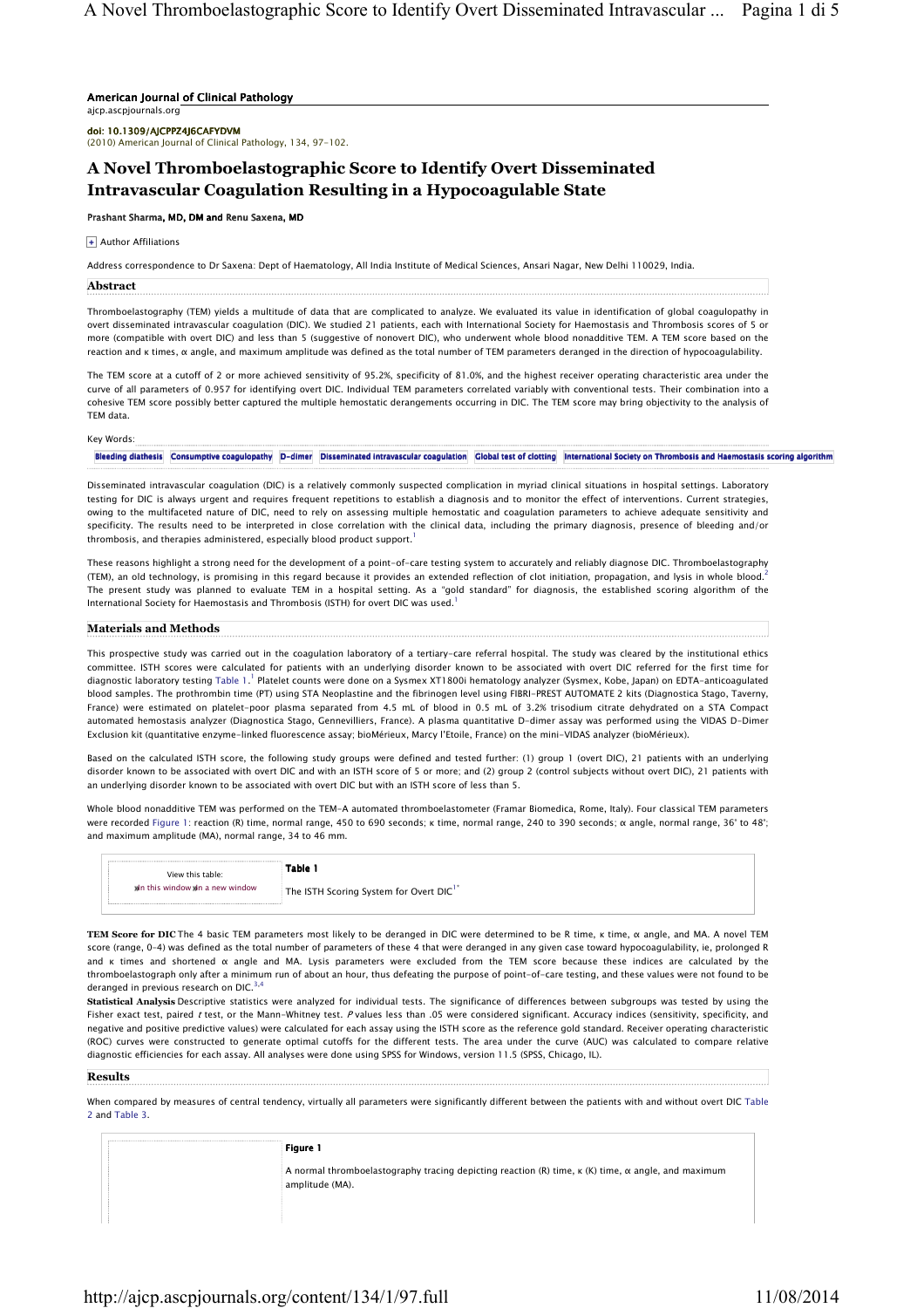## American Journal of Clinical Pathology

ajcp.ascpjournals.org

doi: 10.1309/AJCPPZ4J6CAFYDVM

(2010) American Journal of Clinical Pathology, 134, 97-102.

# A Novel Thromboelastographic Score to Identify Overt Disseminated Intravascular Coagulation Resulting in a Hypocoagulable State

# Prashant Sharma, MD, DM and Renu Saxena, MD

+ Author Affiliations

Address correspondence to Dr Saxena: Dept of Haematology, All India Institute of Medical Sciences, Ansari Nagar, New Delhi 110029, India.

# **Abstract**

Thromboelastography (TEM) yields a multitude of data that are complicated to analyze. We evaluated its value in identification of global coagulopathy in overt disseminated intravascular coagulation (DIC). We studied 21 patients, each with International Society for Haemostasis and Thrombosis scores of 5 or more (compatible with overt DIC) and less than 5 (suggestive of nonovert DIC), who underwent whole blood nonadditive TEM. A TEM score based on the reaction and κ times, α angle, and maximum amplitude was defined as the total number of TEM parameters deranged in the direction of hypocoagulability.

The TEM score at a cutoff of 2 or more achieved sensitivity of 95.2%, specificity of 81.0%, and the highest receiver operating characteristic area under the curve of all parameters of 0.957 for identifying overt DIC. Individual TEM parameters correlated variably with conventional tests. Their combination into a cohesive TEM score possibly better captured the multiple hemostatic derangements occurring in DIC. The TEM score may bring objectivity to the analysis of TEM data.

Key Words:

Bleeding diathesis Consumptive coagulopathy D-dimer Disseminated intravascular coagulation Global test of clotting International Society on Thrombosis and Haemostasis scoring algorithm

Disseminated intravascular coagulation (DIC) is a relatively commonly suspected complication in myriad clinical situations in hospital settings. Laboratory testing for DIC is always urgent and requires frequent repetitions to establish a diagnosis and to monitor the effect of interventions. Current strategies, owing to the multifaceted nature of DIC, need to rely on assessing multiple hemostatic and coagulation parameters to achieve adequate sensitivity and specificity. The results need to be interpreted in close correlation with the clinical data, including the primary diagnosis, presence of bleeding and/or thrombosis, and therapies administered, especially blood product support.

These reasons highlight a strong need for the development of a point-of-care testing system to accurately and reliably diagnose DIC. Thromboelastography (TEM), an old technology, is promising in this regard because it provides an extended reflection of clot initiation, propagation, and lysis in whole blood.<sup>2</sup> The present study was planned to evaluate TEM in a hospital setting. As a "gold standard" for diagnosis, the established scoring algorithm of the International Society for Haemostasis and Thrombosis (ISTH) for overt DIC was used.<sup>1</sup>

### Materials and Methods

This prospective study was carried out in the coagulation laboratory of a tertiary-care referral hospital. The study was cleared by the institutional ethics committee. ISTH scores were calculated for patients with an underlying disorder known to be associated with overt DIC referred for the first time for diagnostic laboratory testing Table 1. <sup>1</sup> Platelet counts were done on a Sysmex XT1800i hematology analyzer (Sysmex, Kobe, Japan) on EDTA-anticoagulated blood samples. The prothrombin time (PT) using STA Neoplastine and the fibrinogen level using FIBRI-PREST AUTOMATE 2 kits (Diagnostica Stago, Taverny, France) were estimated on platelet-poor plasma separated from 4.5 mL of blood in 0.5 mL of 3.2% trisodium citrate dehydrated on a STA Compact automated hemostasis analyzer (Diagnostica Stago, Gennevilliers, France). A plasma quantitative D-dimer assay was performed using the VIDAS D-Dimer Exclusion kit (quantitative enzyme-linked fluorescence assay; bioMérieux, Marcy l'Etoile, France) on the mini-VIDAS analyzer (bioMérieux).

Based on the calculated ISTH score, the following study groups were defined and tested further: (1) group 1 (overt DIC), 21 patients with an underlying disorder known to be associated with overt DIC and with an ISTH score of 5 or more; and (2) group 2 (control subjects without overt DIC), 21 patients with an underlying disorder known to be associated with overt DIC but with an ISTH score of less than 5.

Whole blood nonadditive TEM was performed on the TEM-A automated thromboelastometer (Framar Biomedica, Rome, Italy). Four classical TEM parameters were recorded Figure 1: reaction (R) time, normal range, 450 to 690 seconds; κ time, normal range, 240 to 390 seconds; α angle, normal range, 36° to 48°; and maximum amplitude (MA), normal range, 34 to 46 mm.

| View this table:               | Table 1                                             |
|--------------------------------|-----------------------------------------------------|
| Mn this window Mn a new window | The ISTH Scoring System for Overt DIC <sup>1*</sup> |

TEM Score for DIC The 4 basic TEM parameters most likely to be deranged in DIC were determined to be R time, κ time, α angle, and MA. A novel TEM score (range, 0–4) was defined as the total number of parameters of these 4 that were deranged in any given case toward hypocoagulability, ie, prolonged R and κ times and shortened α angle and MA. Lysis parameters were excluded from the TEM score because these indices are calculated by the thromboelastograph only after a minimum run of about an hour, thus defeating the purpose of point-of-care testing, and these values were not found to be deranged in previous research on DIC.<sup>3</sup>

Statistical Analysis Descriptive statistics were analyzed for individual tests. The significance of differences between subgroups was tested by using the Fisher exact test, paired t test, or the Mann-Whitney test. P values less than .05 were considered significant. Accuracy indices (sensitivity, specificity, and negative and positive predictive values) were calculated for each assay using the ISTH score as the reference gold standard. Receiver operating characteristic (ROC) curves were constructed to generate optimal cutoffs for the different tests. The area under the curve (AUC) was calculated to compare relative diagnostic efficiencies for each assay. All analyses were done using SPSS for Windows, version 11.5 (SPSS, Chicago, IL).

# Results

When compared by measures of central tendency, virtually all parameters were significantly different between the patients with and without overt DIC Table 2 and Table 3.

#### Figure 1

A normal thromboelastography tracing depicting reaction (R) time, κ (K) time, α angle, and maximum amplitude (MA).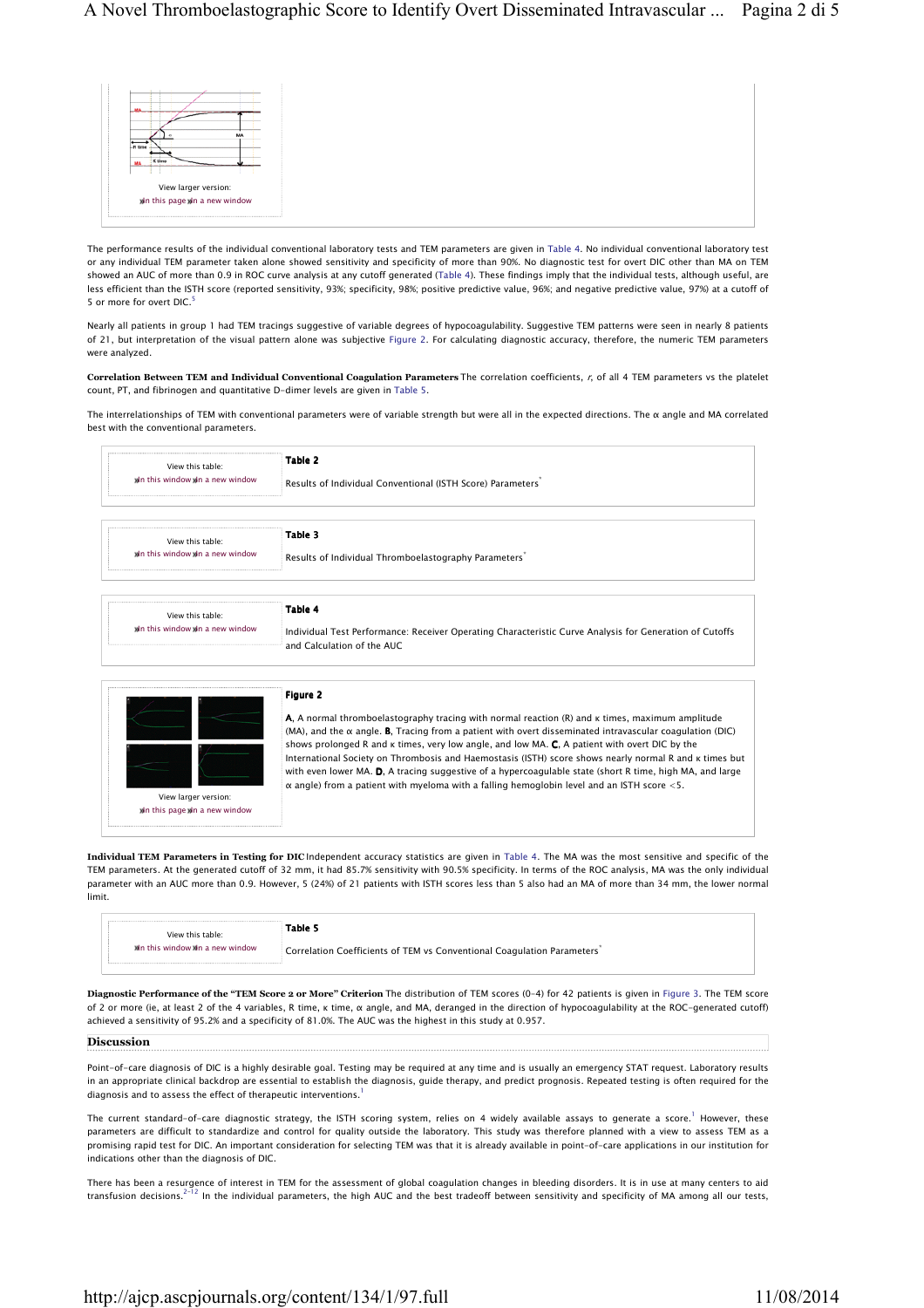

The performance results of the individual conventional laboratory tests and TEM parameters are given in Table 4. No individual conventional laboratory test or any individual TEM parameter taken alone showed sensitivity and specificity of more than 90%. No diagnostic test for overt DIC other than MA on TEM showed an AUC of more than 0.9 in ROC curve analysis at any cutoff generated (Table 4). These findings imply that the individual tests, although useful, are less efficient than the ISTH score (reported sensitivity, 93%; specificity, 98%; positive predictive value, 96%; and negative predictive value, 97%) at a cutoff of 5 or more for overt DIC.<sup>5</sup>

Nearly all patients in group 1 had TEM tracings suggestive of variable degrees of hypocoagulability. Suggestive TEM patterns were seen in nearly 8 patients of 21, but interpretation of the visual pattern alone was subjective Figure 2. For calculating diagnostic accuracy, therefore, the numeric TEM parameters were analyzed.

Correlation Between TEM and Individual Conventional Coagulation Parameters The correlation coefficients, r, of all 4 TEM parameters vs the platelet count, PT, and fibrinogen and quantitative D-dimer levels are given in Table 5.

The interrelationships of TEM with conventional parameters were of variable strength but were all in the expected directions. The α angle and MA correlated best with the conventional parameters.

| View this table:                                   | Table 2                                                                                                                                                                                                                                                                                                                                                                                                                                                  |
|----------------------------------------------------|----------------------------------------------------------------------------------------------------------------------------------------------------------------------------------------------------------------------------------------------------------------------------------------------------------------------------------------------------------------------------------------------------------------------------------------------------------|
| Wh this window Wh a new window                     | Results of Individual Conventional (ISTH Score) Parameters                                                                                                                                                                                                                                                                                                                                                                                               |
|                                                    | Table 3                                                                                                                                                                                                                                                                                                                                                                                                                                                  |
| View this table:                                   |                                                                                                                                                                                                                                                                                                                                                                                                                                                          |
| Wh this window Wh a new window                     | Results of Individual Thromboelastography Parameters                                                                                                                                                                                                                                                                                                                                                                                                     |
| View this table:<br>Wh this window Wh a new window | Table 4<br>Individual Test Performance: Receiver Operating Characteristic Curve Analysis for Generation of Cutoffs<br>and Calculation of the AUC.                                                                                                                                                                                                                                                                                                        |
|                                                    |                                                                                                                                                                                                                                                                                                                                                                                                                                                          |
|                                                    | Figure 2                                                                                                                                                                                                                                                                                                                                                                                                                                                 |
|                                                    | A, A normal thromboelastography tracing with normal reaction $(R)$ and $\kappa$ times, maximum amplitude                                                                                                                                                                                                                                                                                                                                                 |
|                                                    | shows prolonged R and K times, very low angle, and low MA. C, A patient with overt DIC by the                                                                                                                                                                                                                                                                                                                                                            |
| View larger version:                               | (MA), and the $\alpha$ angle. <b>B</b> , Tracing from a patient with overt disseminated intravascular coagulation (DIC)<br>International Society on Thrombosis and Haemostasis (ISTH) score shows nearly normal R and K times but<br>with even lower MA. D, A tracing suggestive of a hypercoagulable state (short R time, high MA, and large<br>$\alpha$ angle) from a patient with myeloma with a falling hemoglobin level and an ISTH score $\leq$ 5. |

Individual TEM Parameters in Testing for DIC Independent accuracy statistics are given in Table 4. The MA was the most sensitive and specific of the TEM parameters. At the generated cutoff of 32 mm, it had 85.7% sensitivity with 90.5% specificity. In terms of the ROC analysis, MA was the only individual parameter with an AUC more than 0.9. However, 5 (24%) of 21 patients with ISTH scores less than 5 also had an MA of more than 34 mm, the lower normal limit.

| View this table:               | Table 5                                                                |
|--------------------------------|------------------------------------------------------------------------|
| Mn this window Mn a new window | Correlation Coefficients of TEM vs Conventional Coagulation Parameters |

Diagnostic Performance of the "TEM Score 2 or More" Criterion The distribution of TEM scores (0–4) for 42 patients is given in Figure 3. The TEM score of 2 or more (ie, at least 2 of the 4 variables, R time, κ time, α angle, and MA, deranged in the direction of hypocoagulability at the ROC-generated cutoff) achieved a sensitivity of 95.2% and a specificity of 81.0%. The AUC was the highest in this study at 0.957.

# Discussion

Point-of-care diagnosis of DIC is a highly desirable goal. Testing may be required at any time and is usually an emergency STAT request. Laboratory results in an appropriate clinical backdrop are essential to establish the diagnosis, guide therapy, and predict prognosis. Repeated testing is often required for the diagnosis and to assess the effect of therapeutic interventions.<sup>1</sup>

The current standard-of-care diagnostic strategy, the ISTH scoring system, relies on 4 widely available assays to generate a score. However, these parameters are difficult to standardize and control for quality outside the laboratory. This study was therefore planned with a view to assess TEM as a promising rapid test for DIC. An important consideration for selecting TEM was that it is already available in point-of-care applications in our institution for indications other than the diagnosis of DIC.

There has been a resurgence of interest in TEM for the assessment of global coagulation changes in bleeding disorders. It is in use at many centers to aid transfusion decisions.<sup>2–12</sup> In the individual parameters, the high AUC and the best tradeoff between sensitivity and specificity of MA among all our tests,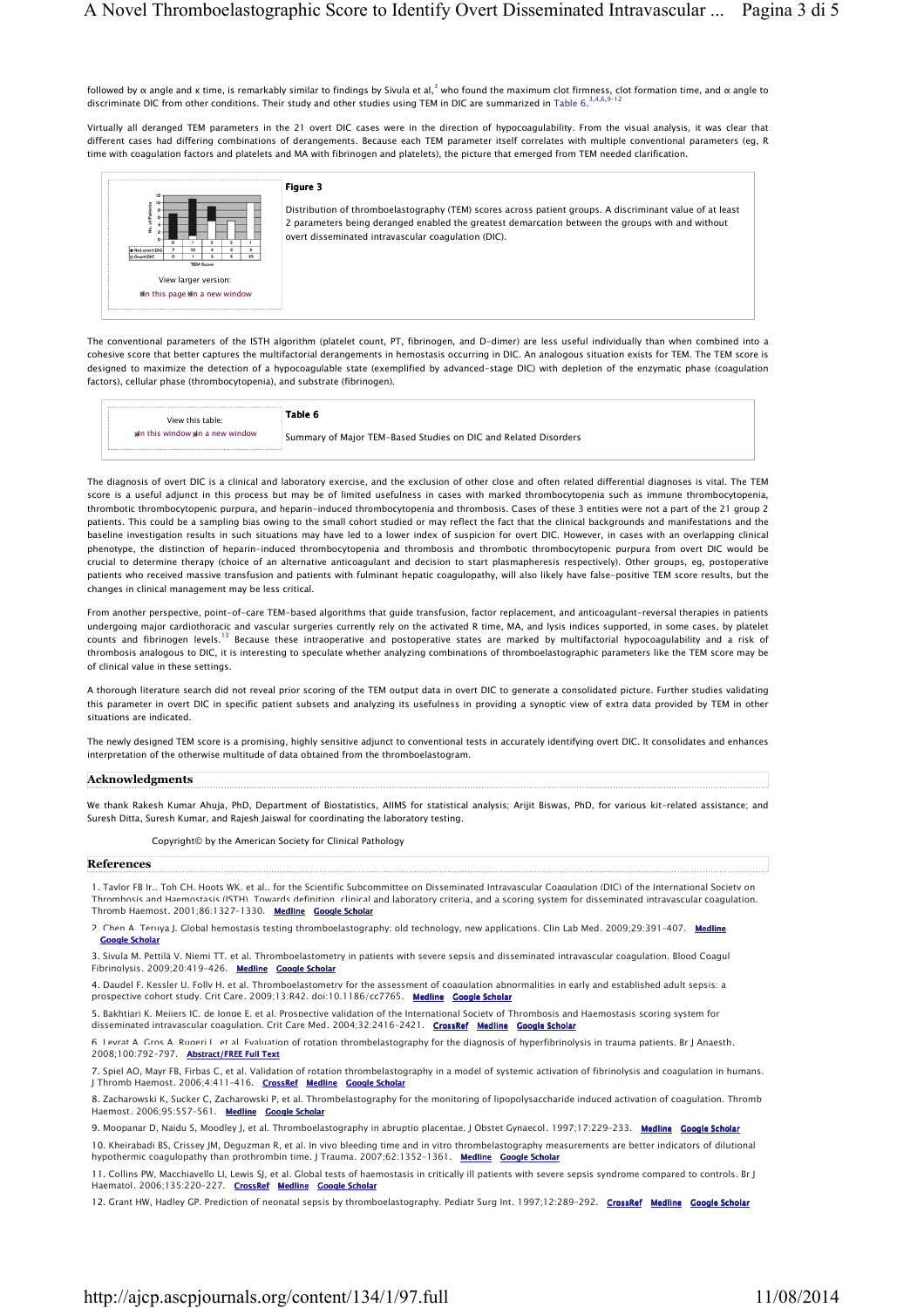followed by α angle and κ time, is remarkably similar to findings by Sivula et al,<sup>3</sup> who found the maximum clot firmness, clot formation time, and α angle to discriminate DIC from other conditions. Their study and other studies using TEM in DIC are summarized in Table 6.<sup>3,4,6,9-12</sup>

Virtually all deranged TEM parameters in the 21 overt DIC cases were in the direction of hypocoagulability. From the visual analysis, it was clear that different cases had differing combinations of derangements. Because each TEM parameter itself correlates with multiple conventional parameters (eg, R time with coagulation factors and platelets and MA with fibrinogen and platelets), the picture that emerged from TEM needed clarification.

## Figure 3

View larger version: **Whathis page Whater a new window**  Distribution of thromboelastography (TEM) scores across patient groups. A discriminant value of at least 2 parameters being deranged enabled the greatest demarcation between the groups with and without overt disseminated intravascular coagulation (DIC).

The conventional parameters of the ISTH algorithm (platelet count, PT, fibrinogen, and D-dimer) are less useful individually than when combined into a cohesive score that better captures the multifactorial derangements in hemostasis occurring in DIC. An analogous situation exists for TEM. The TEM score is designed to maximize the detection of a hypocoagulable state (exemplified by advanced-stage DIC) with depletion of the enzymatic phase (coagulation factors), cellular phase (thrombocytopenia), and substrate (fibrinogen).

| View this table:                | Table 6                                                         |
|---------------------------------|-----------------------------------------------------------------|
| Who this window Wh a new window | Summary of Major TEM-Based Studies on DIC and Related Disorders |

The diagnosis of overt DIC is a clinical and laboratory exercise, and the exclusion of other close and often related differential diagnoses is vital. The TEM score is a useful adjunct in this process but may be of limited usefulness in cases with marked thrombocytopenia such as immune thrombocytopenia, thrombotic thrombocytopenic purpura, and heparin-induced thrombocytopenia and thrombosis. Cases of these 3 entities were not a part of the 21 group 2 patients. This could be a sampling bias owing to the small cohort studied or may reflect the fact that the clinical backgrounds and manifestations and the baseline investigation results in such situations may have led to a lower index of suspicion for overt DIC. However, in cases with an overlapping clinical phenotype, the distinction of heparin-induced thrombocytopenia and thrombosis and thrombotic thrombocytopenic purpura from overt DIC would be crucial to determine therapy (choice of an alternative anticoagulant and decision to start plasmapheresis respectively). Other groups, eg, postoperative patients who received massive transfusion and patients with fulminant hepatic coagulopathy, will also likely have false-positive TEM score results, but the changes in clinical management may be less critical.

From another perspective, point-of-care TEM-based algorithms that guide transfusion, factor replacement, and anticoagulant-reversal therapies in patients undergoing major cardiothoracic and vascular surgeries currently rely on the activated R time, MA, and lysis indices supported, in some cases, by platelet counts and fibrinogen levels.<sup>13</sup> Because these intraoperative and postoperative states are marked by multifactorial hypocoagulability and a risk of thrombosis analogous to DIC, it is interesting to speculate whether analyzing combinations of thromboelastographic parameters like the TEM score may be of clinical value in these settings.

A thorough literature search did not reveal prior scoring of the TEM output data in overt DIC to generate a consolidated picture. Further studies validating this parameter in overt DIC in specific patient subsets and analyzing its usefulness in providing a synoptic view of extra data provided by TEM in other situations are indicated.

The newly designed TEM score is a promising, highly sensitive adjunct to conventional tests in accurately identifying overt DIC. It consolidates and enhances interpretation of the otherwise multitude of data obtained from the thromboelastogram.

### Acknowledgments

We thank Rakesh Kumar Ahuja, PhD, Department of Biostatistics, AIIMS for statistical analysis; Arijit Biswas, PhD, for various kit-related assistance; and Suresh Ditta, Suresh Kumar, and Rajesh Jaiswal for coordinating the laboratory testing.

Copyright© by the American Society for Clinical Pathology

## References

1. Taylor FB Jr., Toh CH, Hoots WK, et al., for the Scientific Subcommittee on Disseminated Intravascular Coagulation (DIC) of the International Society on Thrombosis and Haemostasis (ISTH). Towards definition, clinical and laboratory criteria, and a scoring system for disseminated intravascular coagulation. Thromb Haemost. 2001;86:1327–1330. Medline Google Scholar

2. Chen A, Teruya J. Global hemostasis testing thromboelastography: old technology, new applications. Clin Lab Med. 2009;29:391-407. Medline Google Scholar

3. Sivula M, Pettilä V, Niemi TT, et al. Thromboelastometry in patients with severe sepsis and disseminated intravascular coagulation. Blood Coagul Fibrinolysis. 2009;20:419-426. Medline Google Scholar

4. Daudel F, Kessler U, Folly H, et al. Thromboelastometry for the assessment of coagulation abnormalities in early and established adult sepsis: a prospective cohort study. Crit Care. 2009;13:R42. doi:10.1186/cc7765. Medline Google Scholar

5. Bakhtiari K, Meijers JC, de Jonge E, et al. Prospective validation of the International Society of Thrombosis and Haemostasis scoring system for disseminated intravascular coagulation. Crit Care Med. 2004;32:2416-2421. CrossRef Medline Google Scholar

6. Levrat A, Gros A, Rugeri L, et al. Evaluation of rotation thrombelastography for the diagnosis of hyperfibrinolysis in trauma patients. Br J Anaesth. 2008;100:792-797. Abstract/FREE Full Text

7. Spiel AO, Mayr FB, Firbas C, et al. Validation of rotation thrombelastography in a model of systemic activation of fibrinolysis and coagulation in humans. J Thromb Haemost. 2006;4:411-416. CrossRef Medline Google Scholar

8. Zacharowski K, Sucker C, Zacharowski P, et al. Thrombelastography for the monitoring of lipopolysaccharide induced activation of coagulation. Thromb Haemost. 2006;95:557-561. Medline Google Scholar

9. Moopanar D, Naidu S, Moodley J, et al. Thromboelastography in abruptio placentae. J Obstet Gynaecol. 1997;17:229-233. Medline Google Scholar 10. Kheirabadi BS, Crissey JM, Deguzman R, et al. In vivo bleeding time and in vitro thrombelastography measurements are better indicators of dilutional hypothermic coagulopathy than prothrombin time. J Trauma. 2007;62:1352-1361. Medline Google Scholar

11. Collins PW, Macchiavello LI, Lewis SJ, et al. Global tests of haemostasis in critically ill patients with severe sepsis syndrome compared to controls. Br J Haematol. 2006;135:220-227. CrossRef Medline Google Scholar

12. Grant HW, Hadley GP. Prediction of neonatal sepsis by thromboelastography. Pediatr Surg Int. 1997;12:289-292. CrossRef Medline Google Scholar